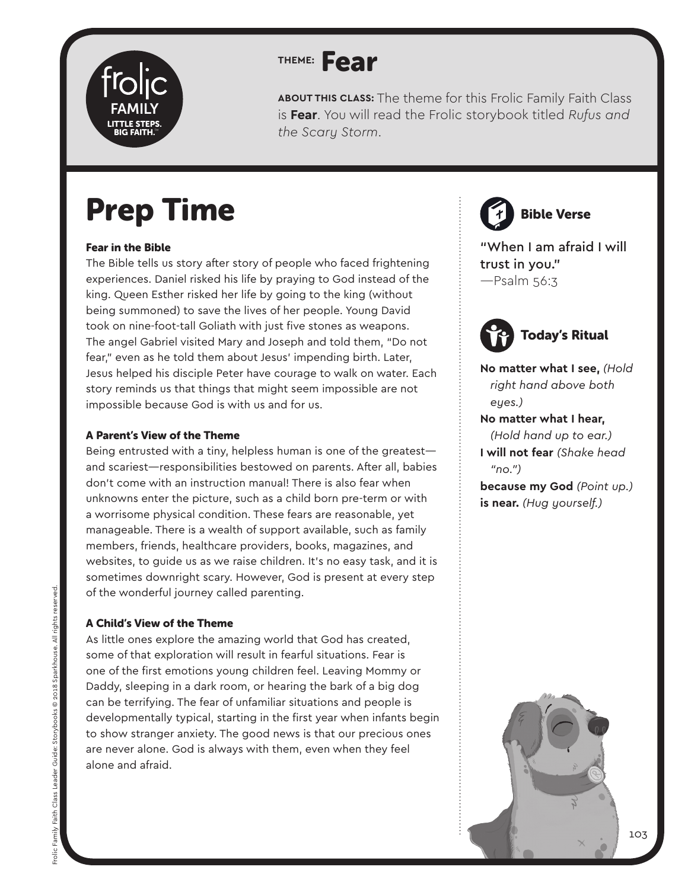

**ABOUT THIS CLASS:** The theme for this Frolic Family Faith Class is **Fear**. You will read the Frolic storybook titled *Rufus and the Scary Storm*.

## Prep Time

#### Fear in the Bible

The Bible tells us story after story of people who faced frightening experiences. Daniel risked his life by praying to God instead of the king. Queen Esther risked her life by going to the king (without being summoned) to save the lives of her people. Young David took on nine-foot-tall Goliath with just five stones as weapons. The angel Gabriel visited Mary and Joseph and told them, "Do not fear," even as he told them about Jesus' impending birth. Later, Jesus helped his disciple Peter have courage to walk on water. Each story reminds us that things that might seem impossible are not impossible because God is with us and for us.

#### A Parent's View of the Theme

Being entrusted with a tiny, helpless human is one of the greatest and scariest—responsibilities bestowed on parents. After all, babies don't come with an instruction manual! There is also fear when unknowns enter the picture, such as a child born pre-term or with a worrisome physical condition. These fears are reasonable, yet manageable. There is a wealth of support available, such as family members, friends, healthcare providers, books, magazines, and websites, to guide us as we raise children. It's no easy task, and it is sometimes downright scary. However, God is present at every step of the wonderful journey called parenting.

#### A Child's View of the Theme

As little ones explore the amazing world that God has created, some of that exploration will result in fearful situations. Fear is one of the first emotions young children feel. Leaving Mommy or Daddy, sleeping in a dark room, or hearing the bark of a big dog can be terrifying. The fear of unfamiliar situations and people is developmentally typical, starting in the first year when infants begin to show stranger anxiety. The good news is that our precious ones are never alone. God is always with them, even when they feel alone and afraid.

Bible Verse

"When I am afraid I will trust in you." —Psalm 56:3



**No matter what I see,** *(Hold right hand above both eyes.)*

#### **No matter what I hear,** *(Hold hand up to ear.)* **I will not fear** *(Shake head "no.")*

**because my God** *(Point up.)* **is near.** *(Hug yourself.)*

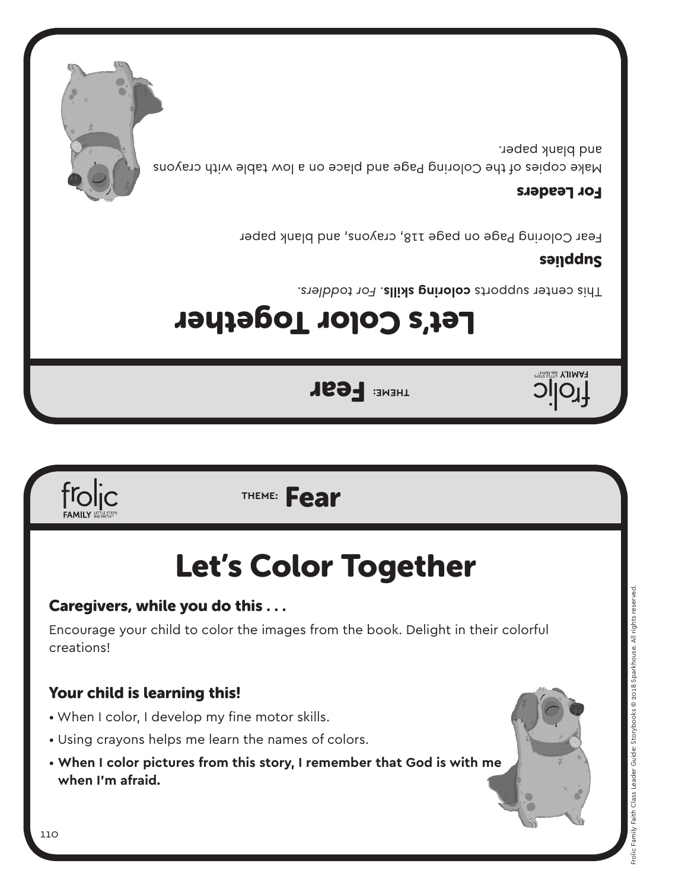### Your child is learning this!

- When I color, I develop my fine motor skills.
- Using crayons helps me learn the names of colors.
- **When I color pictures from this story, I remember that God is with me when I'm afraid.**

creations!

### Caregivers, while you do this . . .

## Let's Color Together

Encourage your child to color the images from the book. Delight in their colorful

### **THEME:** Fear

Let's Color Together

**THEME: FEAR** 

This center supports coloring skills. For toddlers.

### sanddns

**HAMILY BIG FAITH** 

Fear Coloring Page on page 118, crayons, and blank paper

#### For Leaders

Make copies of the Coloring Page and place on a low table with crayons and plank paper.





frolic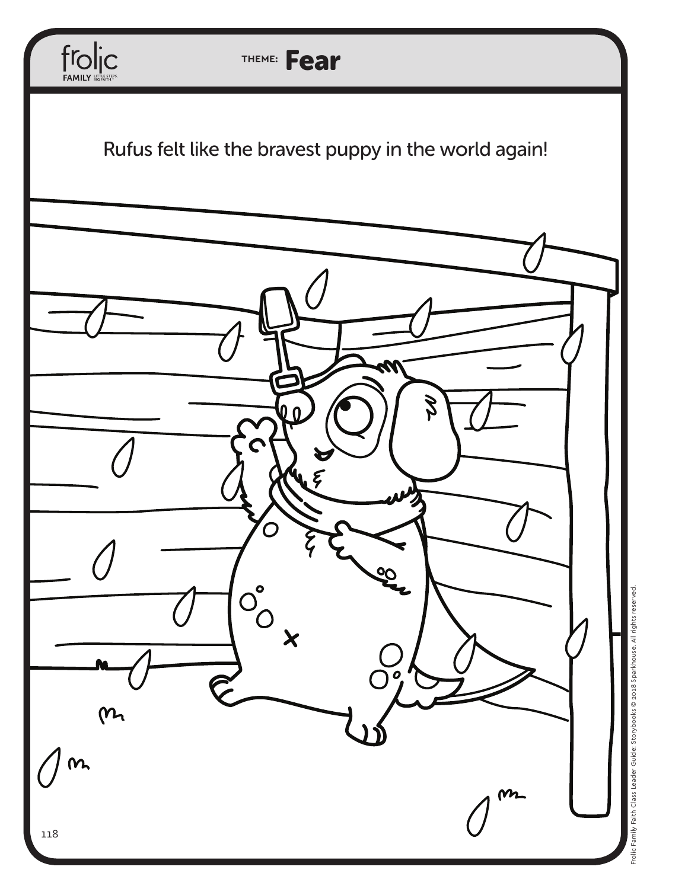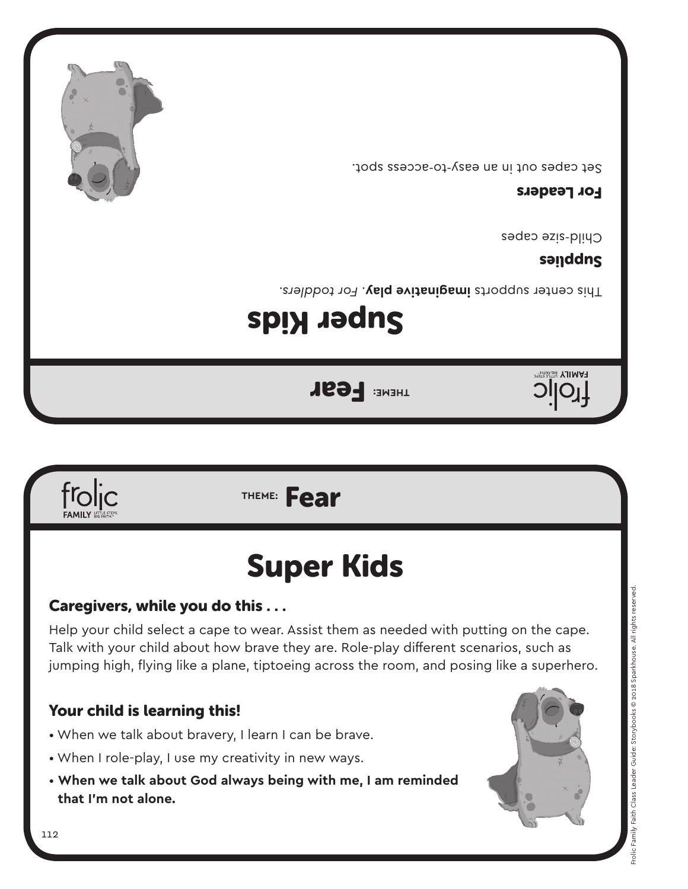



#### Caregivers, while you do this . . .

frolic

Help your child select a cape to wear. Assist them as needed with putting on the cape. Talk with your child about how brave they are. Role-play different scenarios, such as jumping high, flying like a plane, tiptoeing across the room, and posing like a superhero.

#### Your child is learning this!

- When we talk about bravery, I learn I can be brave.
- When I role-play, I use my creativity in new ways.
- **When we talk about God always being with me, I am reminded that I'm not alone.**



**sanddng** 

Set capes out in an easy-to-access spot.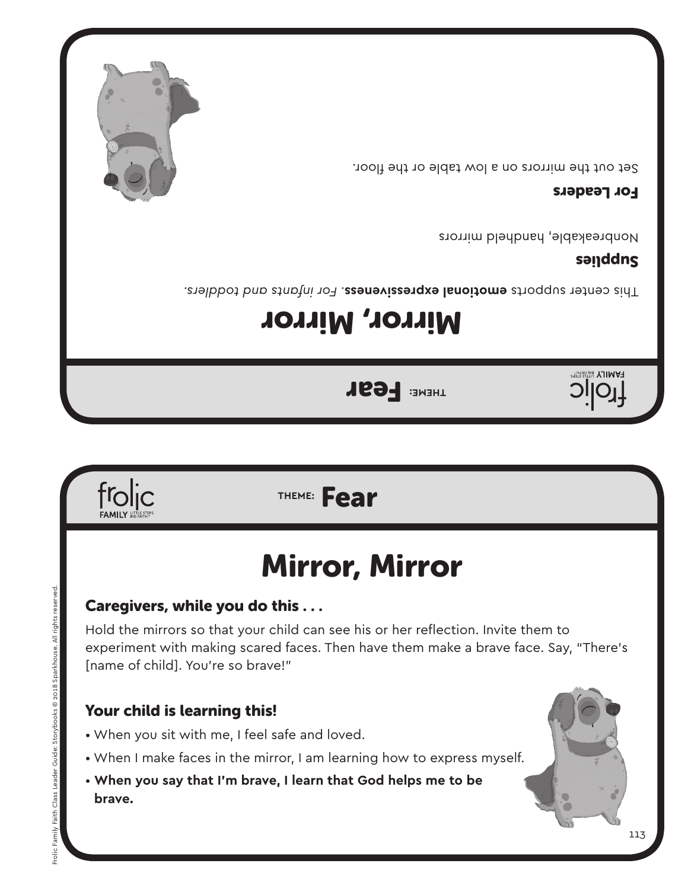

### Your child is learning this!

- When you sit with me, I feel safe and loved.
- When I make faces in the mirror, I am learning how to express myself.
- **When you say that I'm brave, I learn that God helps me to be brave.**

Caregivers, while you do this . . .

Hold the mirrors so that your child can see his or her reflection. Invite them to experiment with making scared faces. Then have them make a brave face. Say, "There's [name of child]. You're so brave!"

## Mirror, Mirror



# **THEME: FEAR**

Mirror, Mirror

*For infants and toddlers.* . **emotional expressiveness** This center supports

### **sanddng**

**FAMILY BIG FAITHEY** 

Nonbreakable, handheld mirrors

#### For Leaders

Set out the mirrors on a low table or the floor.



froljc

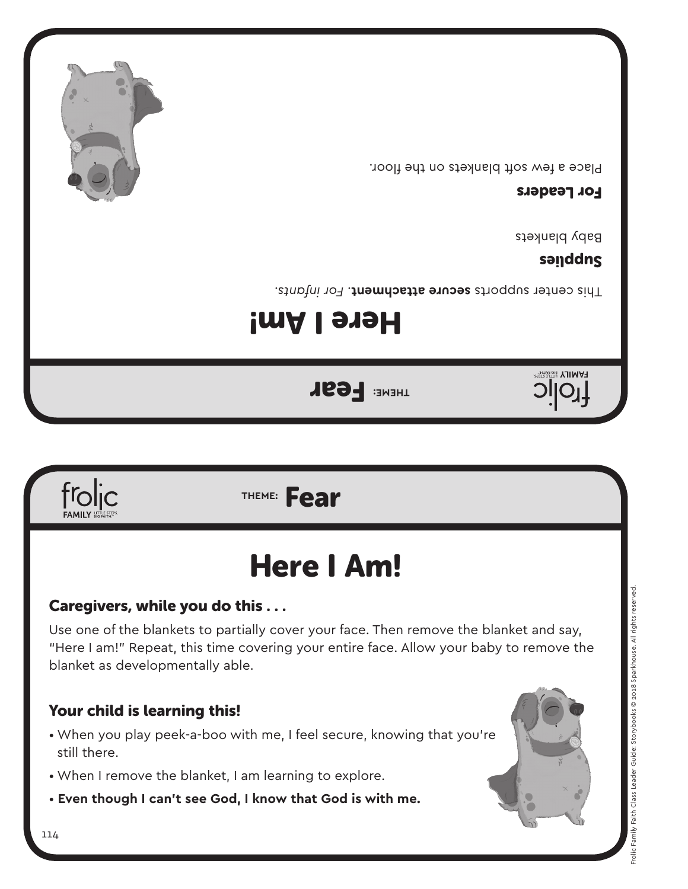

## Here I Am!

#### Caregivers, while you do this . . .

Use one of the blankets to partially cover your face. Then remove the blanket and say, "Here I am!" Repeat, this time covering your entire face. Allow your baby to remove the blanket as developmentally able.

#### Your child is learning this!

- When you play peek-a-boo with me, I feel secure, knowing that you're still there.
- When I remove the blanket, I am learning to explore.
- **Even though I can't see God, I know that God is with me.**





## Here I Am!

**THEME: FEAR** 

Fhis center supports secure attachment. For infants.

#### sanddng

Baby blankets

#### For Leaders

Place a few soft blankets on the floor.

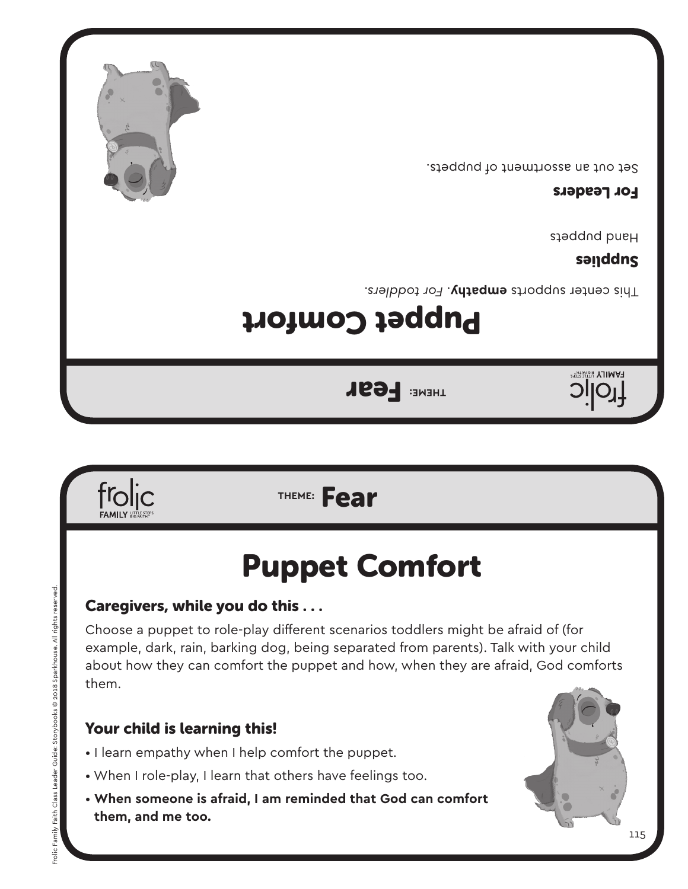froljc

#### Your child is learning this!

- I learn empathy when I help comfort the puppet.
- When I role-play, I learn that others have feelings too.
- **When someone is afraid, I am reminded that God can comfort them, and me too.**

Choose a puppet to role-play different scenarios toddlers might be afraid of (for example, dark, rain, barking dog, being separated from parents). Talk with your child about how they can comfort the puppet and how, when they are afraid, God comforts them.

## Puppet Comfort

### Caregivers, while you do this . . .

**THEME:** Fear

## Puppet Comfort

**THEME: FEAR** 

This center supports empathy. For toddlers.

### Sendens

Hand puppets

#### For Leaders

Set out an assortment of puppets.





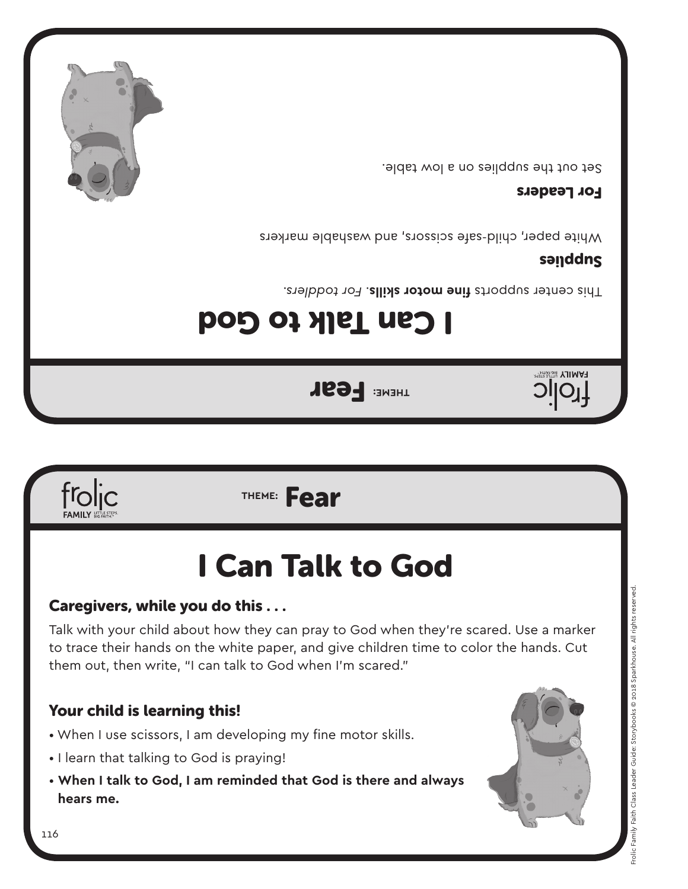

## I Can Talk to God

**THEME: FEAR** 

I Can Talk to God

#### Caregivers, while you do this . . .

Talk with your child about how they can pray to God when they're scared. Use a marker to trace their hands on the white paper, and give children time to color the hands. Cut them out, then write, "I can talk to God when I'm scared."

#### Your child is learning this!

- When I use scissors, I am developing my fine motor skills.
- I learn that talking to God is praying!
- **When I talk to God, I am reminded that God is there and always hears me.**





Fhis center supports fine motor skills. For toddlers.

### sanddng

**FAMILY BIG FAITHEY** 

White paper, child-safe scissors, and washable markers

#### For Leaders

Set out the supplies on a low table.